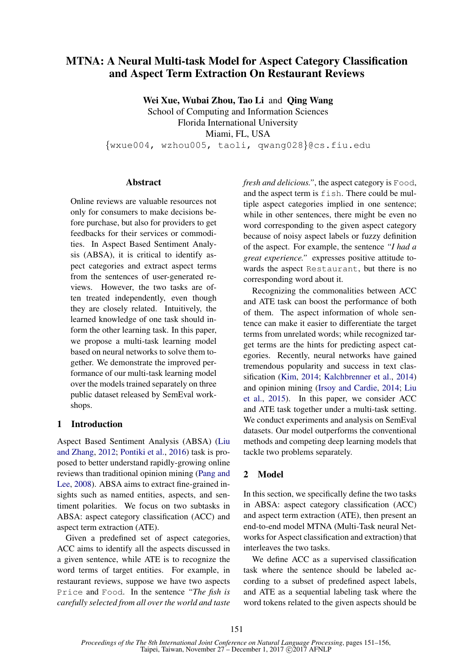# MTNA: A Neural Multi-task Model for Aspect Category Classification and Aspect Term Extraction On Restaurant Reviews

Wei Xue, Wubai Zhou, Tao Li and Qing Wang School of Computing and Information Sciences Florida International University Miami, FL, USA {wxue004, wzhou005, taoli, qwang028}@cs.fiu.edu

## **Abstract**

Online reviews are valuable resources not only for consumers to make decisions before purchase, but also for providers to get feedbacks for their services or commodities. In Aspect Based Sentiment Analysis (ABSA), it is critical to identify aspect categories and extract aspect terms from the sentences of user-generated reviews. However, the two tasks are often treated independently, even though they are closely related. Intuitively, the learned knowledge of one task should inform the other learning task. In this paper, we propose a multi-task learning model based on neural networks to solve them together. We demonstrate the improved performance of our multi-task learning model over the models trained separately on three public dataset released by SemEval workshops.

# 1 Introduction

Aspect Based Sentiment Analysis (ABSA) (Liu and Zhang, 2012; Pontiki et al., 2016) task is proposed to better understand rapidly-growing online reviews than traditional opinion mining (Pang and Lee, 2008). ABSA aims to extract fine-grained insights such as named entities, aspects, and sentiment polarities. We focus on two subtasks in ABSA: aspect category classification (ACC) and aspect term extraction (ATE).

Given a predefined set of aspect categories, ACC aims to identify all the aspects discussed in a given sentence, while ATE is to recognize the word terms of target entities. For example, in restaurant reviews, suppose we have two aspects Price and Food. In the sentence *"The fish is carefully selected from all over the world and taste* *fresh and delicious."*, the aspect category is Food, and the aspect term is fish. There could be multiple aspect categories implied in one sentence; while in other sentences, there might be even no word corresponding to the given aspect category because of noisy aspect labels or fuzzy definition of the aspect. For example, the sentence *"I had a great experience."* expresses positive attitude towards the aspect Restaurant, but there is no corresponding word about it.

Recognizing the commonalities between ACC and ATE task can boost the performance of both of them. The aspect information of whole sentence can make it easier to differentiate the target terms from unrelated words; while recognized target terms are the hints for predicting aspect categories. Recently, neural networks have gained tremendous popularity and success in text classification (Kim, 2014; Kalchbrenner et al., 2014) and opinion mining (Irsoy and Cardie, 2014; Liu et al., 2015). In this paper, we consider ACC and ATE task together under a multi-task setting. We conduct experiments and analysis on SemEval datasets. Our model outperforms the conventional methods and competing deep learning models that tackle two problems separately.

# 2 Model

In this section, we specifically define the two tasks in ABSA: aspect category classification (ACC) and aspect term extraction (ATE), then present an end-to-end model MTNA (Multi-Task neural Networks for Aspect classification and extraction) that interleaves the two tasks.

We define ACC as a supervised classification task where the sentence should be labeled according to a subset of predefined aspect labels, and ATE as a sequential labeling task where the word tokens related to the given aspects should be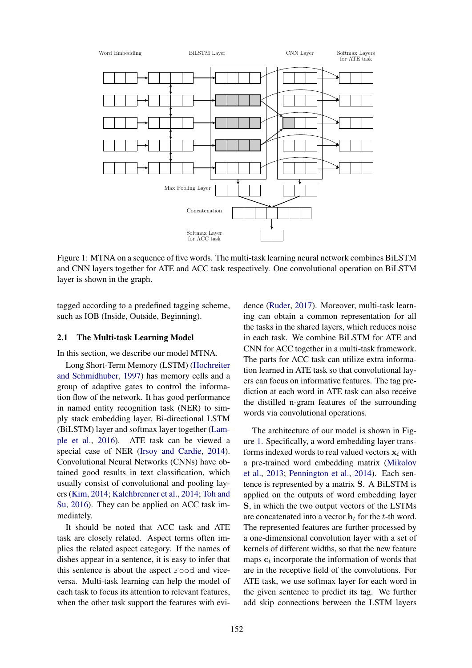

Figure 1: MTNA on a sequence of five words. The multi-task learning neural network combines BiLSTM and CNN layers together for ATE and ACC task respectively. One convolutional operation on BiLSTM layer is shown in the graph.

tagged according to a predefined tagging scheme, such as IOB (Inside, Outside, Beginning).

## 2.1 The Multi-task Learning Model

In this section, we describe our model MTNA.

Long Short-Term Memory (LSTM) (Hochreiter and Schmidhuber, 1997) has memory cells and a group of adaptive gates to control the information flow of the network. It has good performance in named entity recognition task (NER) to simply stack embedding layer, Bi-directional LSTM (BiLSTM) layer and softmax layer together (Lample et al., 2016). ATE task can be viewed a special case of NER (Irsoy and Cardie, 2014). Convolutional Neural Networks (CNNs) have obtained good results in text classification, which usually consist of convolutional and pooling layers (Kim, 2014; Kalchbrenner et al., 2014; Toh and Su, 2016). They can be applied on ACC task immediately.

It should be noted that ACC task and ATE task are closely related. Aspect terms often implies the related aspect category. If the names of dishes appear in a sentence, it is easy to infer that this sentence is about the aspect Food and viceversa. Multi-task learning can help the model of each task to focus its attention to relevant features, when the other task support the features with evi-

dence (Ruder, 2017). Moreover, multi-task learning can obtain a common representation for all the tasks in the shared layers, which reduces noise in each task. We combine BiLSTM for ATE and CNN for ACC together in a multi-task framework. The parts for ACC task can utilize extra information learned in ATE task so that convolutional layers can focus on informative features. The tag prediction at each word in ATE task can also receive the distilled n-gram features of the surrounding words via convolutional operations.

The architecture of our model is shown in Figure 1. Specifically, a word embedding layer transforms indexed words to real valued vectors  $x_i$  with a pre-trained word embedding matrix (Mikolov et al., 2013; Pennington et al., 2014). Each sentence is represented by a matrix S. A BiLSTM is applied on the outputs of word embedding layer S, in which the two output vectors of the LSTMs are concatenated into a vector  $\mathbf{h}_t$  for the t-th word. The represented features are further processed by a one-dimensional convolution layer with a set of kernels of different widths, so that the new feature maps  $c_t$  incorporate the information of words that are in the receptive field of the convolutions. For ATE task, we use softmax layer for each word in the given sentence to predict its tag. We further add skip connections between the LSTM layers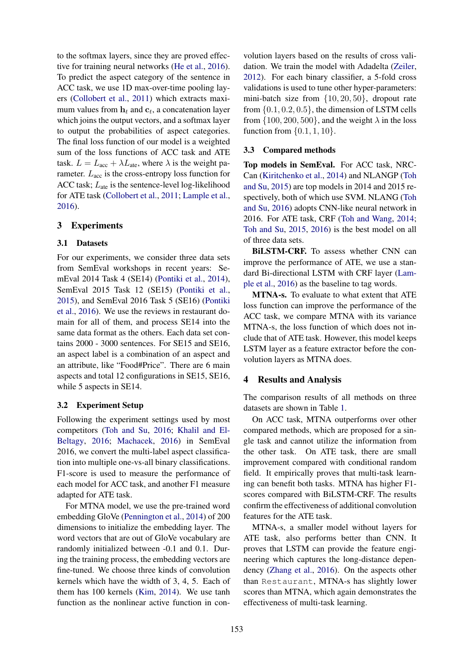to the softmax layers, since they are proved effective for training neural networks (He et al., 2016). To predict the aspect category of the sentence in ACC task, we use 1D max-over-time pooling layers (Collobert et al., 2011) which extracts maximum values from  $\mathbf{h}_t$  and  $\mathbf{c}_t$ , a concatenation layer which joins the output vectors, and a softmax layer to output the probabilities of aspect categories. The final loss function of our model is a weighted sum of the loss functions of ACC task and ATE task.  $L = L<sub>acc</sub> + \lambda L<sub>ate</sub>$ , where  $\lambda$  is the weight parameter.  $L_{\text{acc}}$  is the cross-entropy loss function for ACC task;  $L_{\text{ate}}$  is the sentence-level log-likelihood for ATE task (Collobert et al., 2011; Lample et al., 2016).

## 3 Experiments

## 3.1 Datasets

For our experiments, we consider three data sets from SemEval workshops in recent years: SemEval 2014 Task 4 (SE14) (Pontiki et al., 2014), SemEval 2015 Task 12 (SE15) (Pontiki et al., 2015), and SemEval 2016 Task 5 (SE16) (Pontiki et al., 2016). We use the reviews in restaurant domain for all of them, and process SE14 into the same data format as the others. Each data set contains 2000 - 3000 sentences. For SE15 and SE16, an aspect label is a combination of an aspect and an attribute, like "Food#Price". There are 6 main aspects and total 12 configurations in SE15, SE16, while 5 aspects in SE14.

#### 3.2 Experiment Setup

Following the experiment settings used by most competitors (Toh and Su, 2016; Khalil and El-Beltagy, 2016; Machacek, 2016) in SemEval 2016, we convert the multi-label aspect classification into multiple one-vs-all binary classifications. F1-score is used to measure the performance of each model for ACC task, and another F1 measure adapted for ATE task.

For MTNA model, we use the pre-trained word embedding GloVe (Pennington et al., 2014) of 200 dimensions to initialize the embedding layer. The word vectors that are out of GloVe vocabulary are randomly initialized between -0.1 and 0.1. During the training process, the embedding vectors are fine-tuned. We choose three kinds of convolution kernels which have the width of 3, 4, 5. Each of them has 100 kernels (Kim, 2014). We use tanh function as the nonlinear active function in convolution layers based on the results of cross validation. We train the model with Adadelta (Zeiler, 2012). For each binary classifier, a 5-fold cross validations is used to tune other hyper-parameters: mini-batch size from {10, 20, 50}, dropout rate from  $\{0.1, 0.2, 0.5\}$ , the dimension of LSTM cells from  $\{100, 200, 500\}$ , and the weight  $\lambda$  in the loss function from  $\{0.1, 1, 10\}$ .

#### 3.3 Compared methods

Top models in SemEval. For ACC task, NRC-Can (Kiritchenko et al., 2014) and NLANGP (Toh and Su, 2015) are top models in 2014 and 2015 respectively, both of which use SVM. NLANG (Toh and Su, 2016) adopts CNN-like neural network in 2016. For ATE task, CRF (Toh and Wang, 2014; Toh and Su, 2015, 2016) is the best model on all of three data sets.

BILSTM-CRF. To assess whether CNN can improve the performance of ATE, we use a standard Bi-directional LSTM with CRF layer (Lample et al., 2016) as the baseline to tag words.

MTNA-s. To evaluate to what extent that ATE loss function can improve the performance of the ACC task, we compare MTNA with its variance MTNA-s, the loss function of which does not include that of ATE task. However, this model keeps LSTM layer as a feature extractor before the convolution layers as MTNA does.

#### 4 Results and Analysis

The comparison results of all methods on three datasets are shown in Table 1.

On ACC task, MTNA outperforms over other compared methods, which are proposed for a single task and cannot utilize the information from the other task. On ATE task, there are small improvement compared with conditional random field. It empirically proves that multi-task learning can benefit both tasks. MTNA has higher F1 scores compared with BiLSTM-CRF. The results confirm the effectiveness of additional convolution features for the ATE task.

MTNA-s, a smaller model without layers for ATE task, also performs better than CNN. It proves that LSTM can provide the feature engineering which captures the long-distance dependency (Zhang et al., 2016). On the aspects other than Restaurant, MTNA-s has slightly lower scores than MTNA, which again demonstrates the effectiveness of multi-task learning.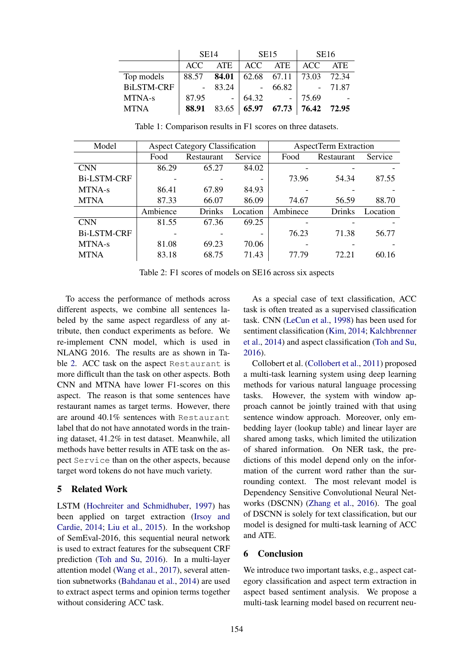|                   | <b>SE14</b> |       | <b>SE15</b>                                                                                  |               | <b>SE16</b> |            |
|-------------------|-------------|-------|----------------------------------------------------------------------------------------------|---------------|-------------|------------|
|                   | ACC.        | ATE   |                                                                                              | ACC ATE   ACC |             | <b>ATE</b> |
| Top models        | 88.57 84.01 |       | 62.68 67.11                                                                                  |               | 73.03 72.34 |            |
| <b>BiLSTM-CRF</b> |             | 83.24 |                                                                                              | 66.82         |             | $-71.87$   |
| MTNA-s            | 87.95       |       | 64.32                                                                                        |               | 75.69       |            |
| <b>MTNA</b>       | 88.91       | 83.65 | $\begin{array}{ c c c c c c c c c } \hline 65.97 & 67.73 & 76.42 & 72.95 \hline \end{array}$ |               |             |            |

Table 1: Comparison results in F1 scores on three datasets.

| Model              |          | <b>Aspect Category Classification</b> |          | AspectTerm Extraction |               |          |
|--------------------|----------|---------------------------------------|----------|-----------------------|---------------|----------|
|                    | Food     | Restaurant                            | Service  | Food                  | Restaurant    | Service  |
| <b>CNN</b>         | 86.29    | 65.27                                 | 84.02    |                       |               |          |
| <b>Bi-LSTM-CRF</b> |          |                                       |          | 73.96                 | 54.34         | 87.55    |
| MTNA-s             | 86.41    | 67.89                                 | 84.93    |                       |               |          |
| <b>MTNA</b>        | 87.33    | 66.07                                 | 86.09    | 74.67                 | 56.59         | 88.70    |
|                    | Ambience | <b>Drinks</b>                         | Location | Ambinece              | <b>Drinks</b> | Location |
| <b>CNN</b>         | 81.55    | 67.36                                 | 69.25    |                       |               |          |
| <b>Bi-LSTM-CRF</b> |          |                                       |          | 76.23                 | 71.38         | 56.77    |
| MTNA-s             | 81.08    | 69.23                                 | 70.06    |                       |               |          |
| <b>MTNA</b>        | 83.18    | 68.75                                 | 71.43    | 77.79                 | 72.21         | 60.16    |

Table 2: F1 scores of models on SE16 across six aspects

To access the performance of methods across different aspects, we combine all sentences labeled by the same aspect regardless of any attribute, then conduct experiments as before. We re-implement CNN model, which is used in NLANG 2016. The results are as shown in Table 2. ACC task on the aspect Restaurant is more difficult than the task on other aspects. Both CNN and MTNA have lower F1-scores on this aspect. The reason is that some sentences have restaurant names as target terms. However, there are around 40.1% sentences with Restaurant label that do not have annotated words in the training dataset, 41.2% in test dataset. Meanwhile, all methods have better results in ATE task on the aspect Service than on the other aspects, because target word tokens do not have much variety.

## 5 Related Work

LSTM (Hochreiter and Schmidhuber, 1997) has been applied on target extraction (Irsoy and Cardie, 2014; Liu et al., 2015). In the workshop of SemEval-2016, this sequential neural network is used to extract features for the subsequent CRF prediction (Toh and Su, 2016). In a multi-layer attention model (Wang et al., 2017), several attention subnetworks (Bahdanau et al., 2014) are used to extract aspect terms and opinion terms together without considering ACC task.

As a special case of text classification, ACC task is often treated as a supervised classification task. CNN (LeCun et al., 1998) has been used for sentiment classification (Kim, 2014; Kalchbrenner et al., 2014) and aspect classification (Toh and Su, 2016).

Collobert et al. (Collobert et al., 2011) proposed a multi-task learning system using deep learning methods for various natural language processing tasks. However, the system with window approach cannot be jointly trained with that using sentence window approach. Moreover, only embedding layer (lookup table) and linear layer are shared among tasks, which limited the utilization of shared information. On NER task, the predictions of this model depend only on the information of the current word rather than the surrounding context. The most relevant model is Dependency Sensitive Convolutional Neural Networks (DSCNN) (Zhang et al., 2016). The goal of DSCNN is solely for text classification, but our model is designed for multi-task learning of ACC and ATE.

## 6 Conclusion

We introduce two important tasks, e.g., aspect category classification and aspect term extraction in aspect based sentiment analysis. We propose a multi-task learning model based on recurrent neu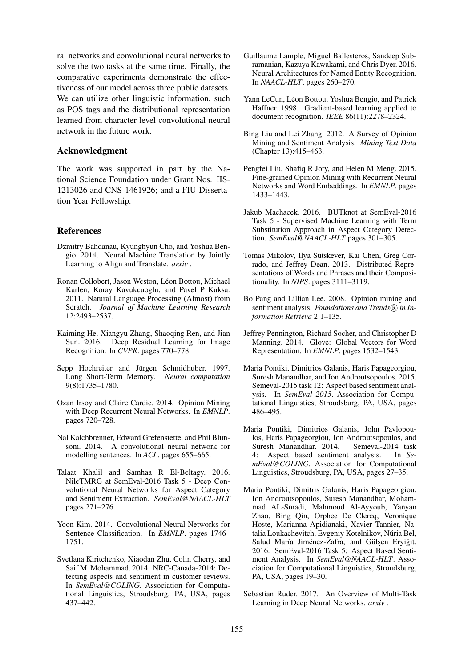ral networks and convolutional neural networks to solve the two tasks at the same time. Finally, the comparative experiments demonstrate the effectiveness of our model across three public datasets. We can utilize other linguistic information, such as POS tags and the distributional representation learned from character level convolutional neural network in the future work.

#### Acknowledgment

The work was supported in part by the National Science Foundation under Grant Nos. IIS-1213026 and CNS-1461926; and a FIU Dissertation Year Fellowship.

## **References**

- Dzmitry Bahdanau, Kyunghyun Cho, and Yoshua Bengio. 2014. Neural Machine Translation by Jointly Learning to Align and Translate. *arxiv* .
- Ronan Collobert, Jason Weston, Léon Bottou, Michael Karlen, Koray Kavukcuoglu, and Pavel P Kuksa. 2011. Natural Language Processing (Almost) from Scratch. *Journal of Machine Learning Research* 12:2493–2537.
- Kaiming He, Xiangyu Zhang, Shaoqing Ren, and Jian Sun. 2016. Deep Residual Learning for Image Recognition. In *CVPR*. pages 770–778.
- Sepp Hochreiter and Jürgen Schmidhuber. 1997. Long Short-Term Memory. *Neural computation* 9(8):1735–1780.
- Ozan Irsoy and Claire Cardie. 2014. Opinion Mining with Deep Recurrent Neural Networks. In *EMNLP*. pages 720–728.
- Nal Kalchbrenner, Edward Grefenstette, and Phil Blunsom. 2014. A convolutional neural network for modelling sentences. In *ACL*. pages 655–665.
- Talaat Khalil and Samhaa R El-Beltagy. 2016. NileTMRG at SemEval-2016 Task 5 - Deep Convolutional Neural Networks for Aspect Category and Sentiment Extraction. *SemEval@NAACL-HLT* pages 271–276.
- Yoon Kim. 2014. Convolutional Neural Networks for Sentence Classification. In *EMNLP*. pages 1746– 1751.
- Svetlana Kiritchenko, Xiaodan Zhu, Colin Cherry, and Saif M. Mohammad. 2014. NRC-Canada-2014: Detecting aspects and sentiment in customer reviews. In *SemEval@COLING*. Association for Computational Linguistics, Stroudsburg, PA, USA, pages 437–442.
- Guillaume Lample, Miguel Ballesteros, Sandeep Subramanian, Kazuya Kawakami, and Chris Dyer. 2016. Neural Architectures for Named Entity Recognition. In *NAACL-HLT*. pages 260–270.
- Yann LeCun, Léon Bottou, Yoshua Bengio, and Patrick Haffner. 1998. Gradient-based learning applied to document recognition. *IEEE* 86(11):2278–2324.
- Bing Liu and Lei Zhang. 2012. A Survey of Opinion Mining and Sentiment Analysis. *Mining Text Data* (Chapter 13):415–463.
- Pengfei Liu, Shafiq R Joty, and Helen M Meng. 2015. Fine-grained Opinion Mining with Recurrent Neural Networks and Word Embeddings. In *EMNLP*. pages 1433–1443.
- Jakub Machacek. 2016. BUTknot at SemEval-2016 Task 5 - Supervised Machine Learning with Term Substitution Approach in Aspect Category Detection. *SemEval@NAACL-HLT* pages 301–305.
- Tomas Mikolov, Ilya Sutskever, Kai Chen, Greg Corrado, and Jeffrey Dean. 2013. Distributed Representations of Words and Phrases and their Compositionality. In *NIPS*. pages 3111–3119.
- Bo Pang and Lillian Lee. 2008. Opinion mining and sentiment analysis. *Foundations and Trends*(R) in In*formation Retrieva* 2:1–135.
- Jeffrey Pennington, Richard Socher, and Christopher D Manning. 2014. Glove: Global Vectors for Word Representation. In *EMNLP*. pages 1532–1543.
- Maria Pontiki, Dimitrios Galanis, Haris Papageorgiou, Suresh Manandhar, and Ion Androutsopoulos. 2015. Semeval-2015 task 12: Aspect based sentiment analysis. In *SemEval 2015*. Association for Computational Linguistics, Stroudsburg, PA, USA, pages 486–495.
- Maria Pontiki, Dimitrios Galanis, John Pavlopoulos, Haris Papageorgiou, Ion Androutsopoulos, and Suresh Manandhar. 2014. 4: Aspect based sentiment analysis. In *SemEval@COLING*. Association for Computational Linguistics, Stroudsburg, PA, USA, pages 27–35.
- Maria Pontiki, Dimitris Galanis, Haris Papageorgiou, Ion Androutsopoulos, Suresh Manandhar, Mohammad AL-Smadi, Mahmoud Al-Ayyoub, Yanyan Zhao, Bing Qin, Orphee De Clercq, Veronique Hoste, Marianna Apidianaki, Xavier Tannier, Natalia Loukachevitch, Evgeniy Kotelnikov, Núria Bel, Salud María Jiménez-Zafra, and Gülşen Eryiğit. 2016. SemEval-2016 Task 5: Aspect Based Sentiment Analysis. In *SemEval@NAACL-HLT*. Association for Computational Linguistics, Stroudsburg, PA, USA, pages 19–30.
- Sebastian Ruder. 2017. An Overview of Multi-Task Learning in Deep Neural Networks. *arxiv* .